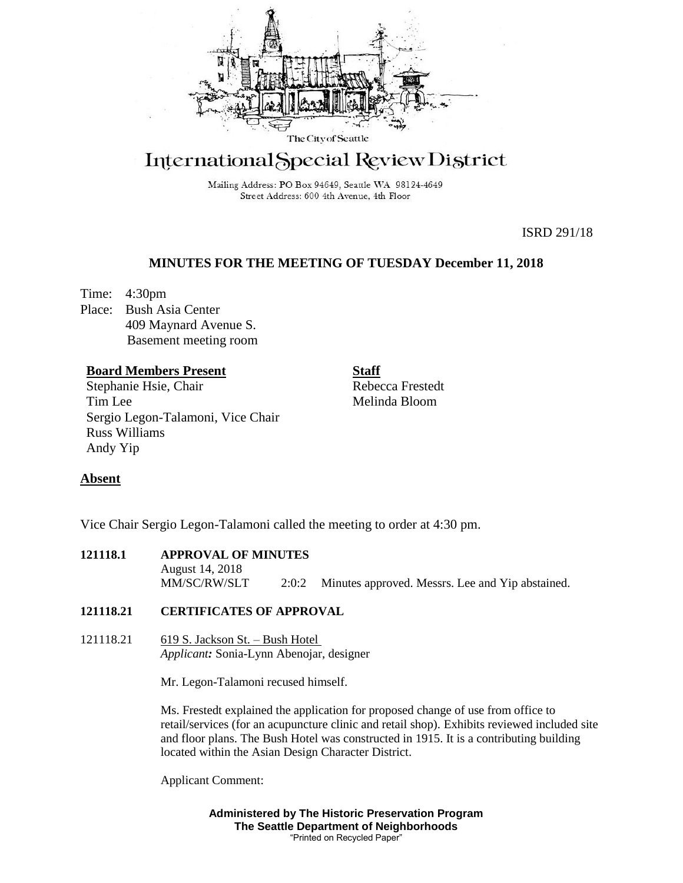

# International Special Review District

Mailing Address: PO Box 94649, Seattle WA 98124-4649 Street Address: 600 4th Avenue, 4th Floor

ISRD 291/18

# **MINUTES FOR THE MEETING OF TUESDAY December 11, 2018**

Time: 4:30pm Place: Bush Asia Center 409 Maynard Avenue S. Basement meeting room

# **Board Members Present**

Stephanie Hsie, Chair Tim Lee Sergio Legon-Talamoni, Vice Chair Russ Williams Andy Yip

**Staff** Rebecca Frestedt Melinda Bloom

# **Absent**

Vice Chair Sergio Legon-Talamoni called the meeting to order at 4:30 pm.

**121118.1 APPROVAL OF MINUTES** August 14, 2018 MM/SC/RW/SLT 2:0:2 Minutes approved. Messrs. Lee and Yip abstained.

# **121118.21 CERTIFICATES OF APPROVAL**

121118.21 619 S. Jackson St. – Bush Hotel *Applicant:* Sonia-Lynn Abenojar, designer

Mr. Legon-Talamoni recused himself.

Ms. Frestedt explained the application for proposed change of use from office to retail/services (for an acupuncture clinic and retail shop). Exhibits reviewed included site and floor plans. The Bush Hotel was constructed in 1915. It is a contributing building located within the Asian Design Character District.

Applicant Comment:

**Administered by The Historic Preservation Program The Seattle Department of Neighborhoods** "Printed on Recycled Paper"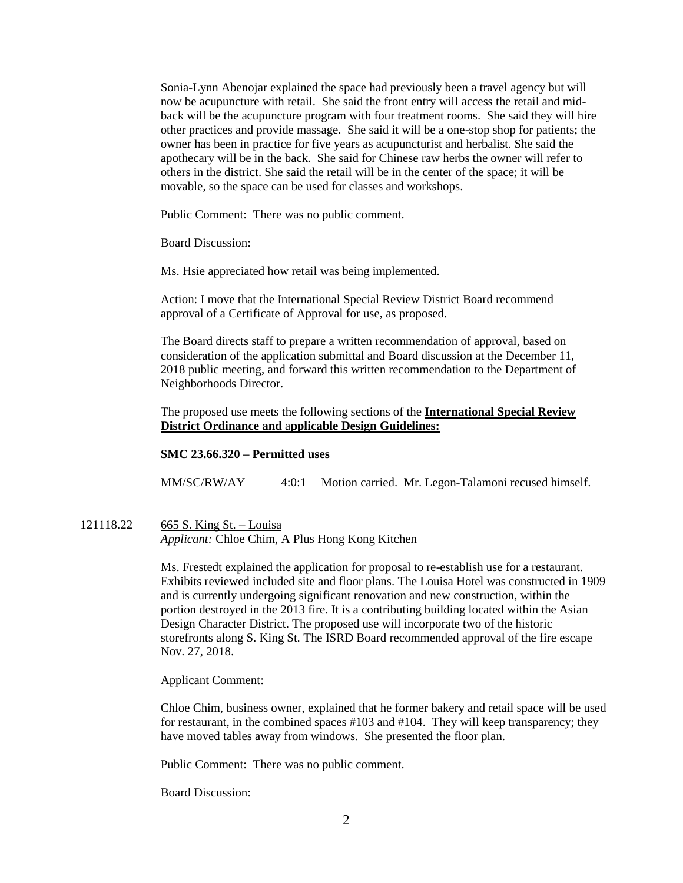Sonia-Lynn Abenojar explained the space had previously been a travel agency but will now be acupuncture with retail. She said the front entry will access the retail and midback will be the acupuncture program with four treatment rooms. She said they will hire other practices and provide massage. She said it will be a one-stop shop for patients; the owner has been in practice for five years as acupuncturist and herbalist. She said the apothecary will be in the back. She said for Chinese raw herbs the owner will refer to others in the district. She said the retail will be in the center of the space; it will be movable, so the space can be used for classes and workshops.

Public Comment: There was no public comment.

Board Discussion:

Ms. Hsie appreciated how retail was being implemented.

Action: I move that the International Special Review District Board recommend approval of a Certificate of Approval for use, as proposed.

The Board directs staff to prepare a written recommendation of approval, based on consideration of the application submittal and Board discussion at the December 11, 2018 public meeting, and forward this written recommendation to the Department of Neighborhoods Director.

The proposed use meets the following sections of the **International Special Review District Ordinance and** a**pplicable Design Guidelines:**

## **SMC 23.66.320 – Permitted uses**

MM/SC/RW/AY 4:0:1 Motion carried. Mr. Legon-Talamoni recused himself.

121118.22 665 S. King St. – Louisa *Applicant:* Chloe Chim, A Plus Hong Kong Kitchen

> Ms. Frestedt explained the application for proposal to re-establish use for a restaurant. Exhibits reviewed included site and floor plans. The Louisa Hotel was constructed in 1909 and is currently undergoing significant renovation and new construction, within the portion destroyed in the 2013 fire. It is a contributing building located within the Asian Design Character District. The proposed use will incorporate two of the historic storefronts along S. King St. The ISRD Board recommended approval of the fire escape Nov. 27, 2018.

Applicant Comment:

Chloe Chim, business owner, explained that he former bakery and retail space will be used for restaurant, in the combined spaces #103 and #104. They will keep transparency; they have moved tables away from windows. She presented the floor plan.

Public Comment: There was no public comment.

Board Discussion: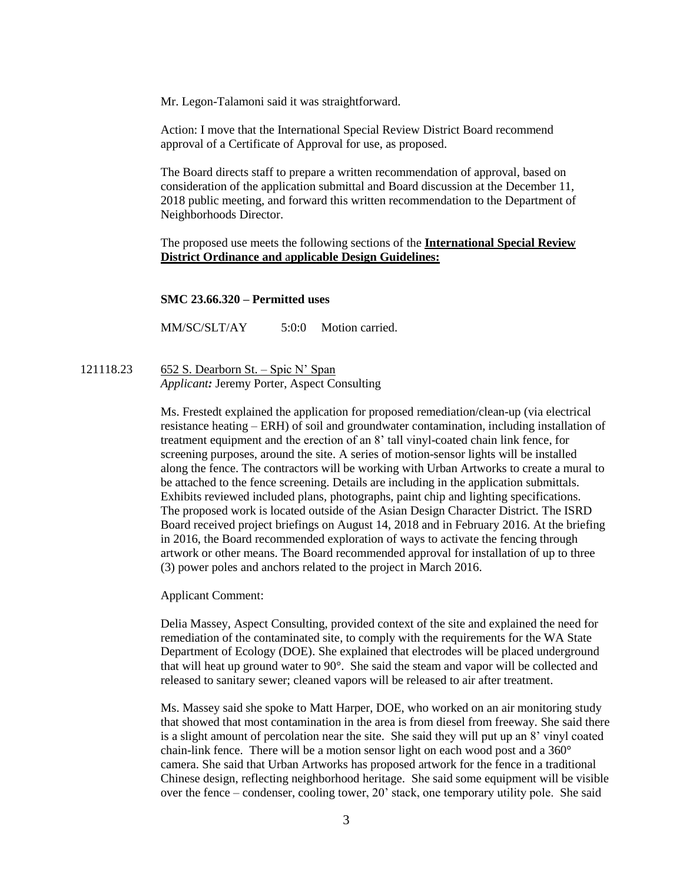Mr. Legon-Talamoni said it was straightforward.

Action: I move that the International Special Review District Board recommend approval of a Certificate of Approval for use, as proposed.

The Board directs staff to prepare a written recommendation of approval, based on consideration of the application submittal and Board discussion at the December 11, 2018 public meeting, and forward this written recommendation to the Department of Neighborhoods Director.

The proposed use meets the following sections of the **International Special Review District Ordinance and** a**pplicable Design Guidelines:**

#### **SMC 23.66.320 – Permitted uses**

MM/SC/SLT/AY 5:0:0 Motion carried.

121118.23 652 S. Dearborn St. – Spic N' Span *Applicant:* Jeremy Porter, Aspect Consulting

> Ms. Frestedt explained the application for proposed remediation/clean-up (via electrical resistance heating – ERH) of soil and groundwater contamination, including installation of treatment equipment and the erection of an 8' tall vinyl-coated chain link fence, for screening purposes, around the site. A series of motion-sensor lights will be installed along the fence. The contractors will be working with Urban Artworks to create a mural to be attached to the fence screening. Details are including in the application submittals. Exhibits reviewed included plans, photographs, paint chip and lighting specifications. The proposed work is located outside of the Asian Design Character District. The ISRD Board received project briefings on August 14, 2018 and in February 2016. At the briefing in 2016, the Board recommended exploration of ways to activate the fencing through artwork or other means. The Board recommended approval for installation of up to three (3) power poles and anchors related to the project in March 2016.

Applicant Comment:

Delia Massey, Aspect Consulting, provided context of the site and explained the need for remediation of the contaminated site, to comply with the requirements for the WA State Department of Ecology (DOE). She explained that electrodes will be placed underground that will heat up ground water to 90°. She said the steam and vapor will be collected and released to sanitary sewer; cleaned vapors will be released to air after treatment.

Ms. Massey said she spoke to Matt Harper, DOE, who worked on an air monitoring study that showed that most contamination in the area is from diesel from freeway. She said there is a slight amount of percolation near the site. She said they will put up an 8' vinyl coated chain-link fence. There will be a motion sensor light on each wood post and a 360° camera. She said that Urban Artworks has proposed artwork for the fence in a traditional Chinese design, reflecting neighborhood heritage. She said some equipment will be visible over the fence – condenser, cooling tower, 20' stack, one temporary utility pole. She said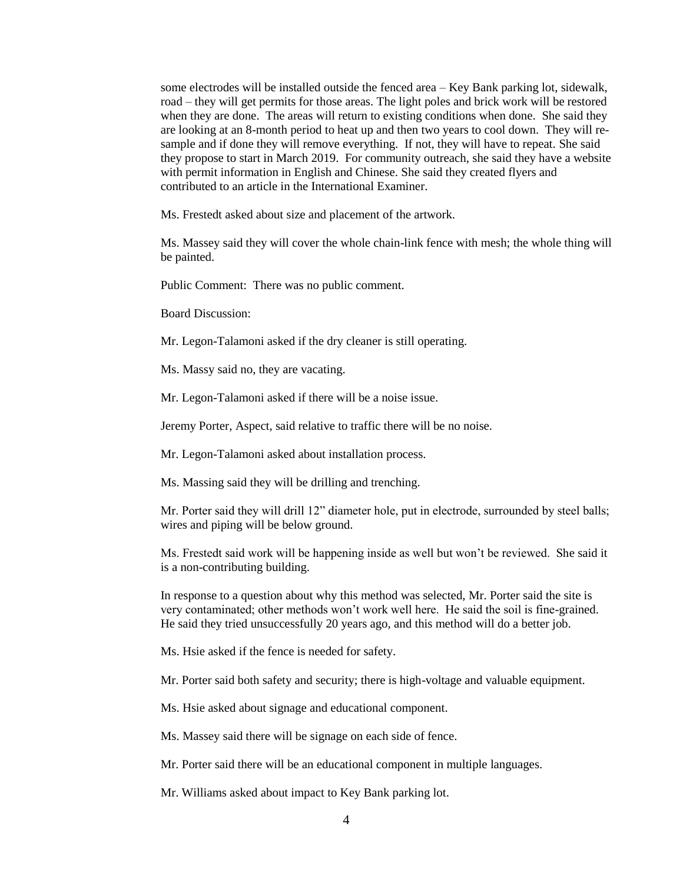some electrodes will be installed outside the fenced area – Key Bank parking lot, sidewalk, road – they will get permits for those areas. The light poles and brick work will be restored when they are done. The areas will return to existing conditions when done. She said they are looking at an 8-month period to heat up and then two years to cool down. They will resample and if done they will remove everything. If not, they will have to repeat. She said they propose to start in March 2019. For community outreach, she said they have a website with permit information in English and Chinese. She said they created flyers and contributed to an article in the International Examiner.

Ms. Frestedt asked about size and placement of the artwork.

Ms. Massey said they will cover the whole chain-link fence with mesh; the whole thing will be painted.

Public Comment: There was no public comment.

Board Discussion:

Mr. Legon-Talamoni asked if the dry cleaner is still operating.

Ms. Massy said no, they are vacating.

Mr. Legon-Talamoni asked if there will be a noise issue.

Jeremy Porter, Aspect, said relative to traffic there will be no noise.

Mr. Legon-Talamoni asked about installation process.

Ms. Massing said they will be drilling and trenching.

Mr. Porter said they will drill 12" diameter hole, put in electrode, surrounded by steel balls; wires and piping will be below ground.

Ms. Frestedt said work will be happening inside as well but won't be reviewed. She said it is a non-contributing building.

In response to a question about why this method was selected, Mr. Porter said the site is very contaminated; other methods won't work well here. He said the soil is fine-grained. He said they tried unsuccessfully 20 years ago, and this method will do a better job.

Ms. Hsie asked if the fence is needed for safety.

Mr. Porter said both safety and security; there is high-voltage and valuable equipment.

Ms. Hsie asked about signage and educational component.

Ms. Massey said there will be signage on each side of fence.

Mr. Porter said there will be an educational component in multiple languages.

Mr. Williams asked about impact to Key Bank parking lot.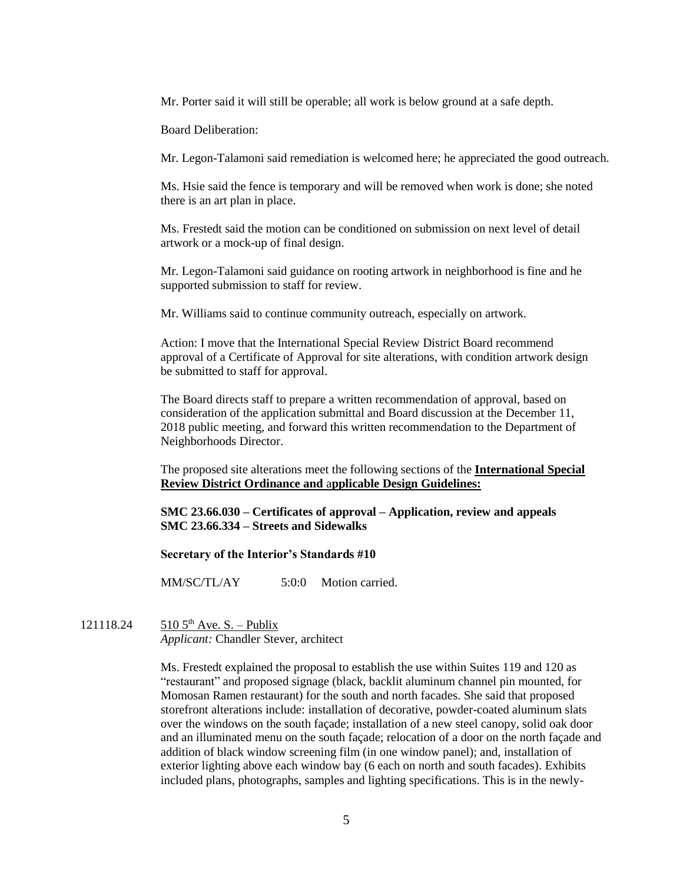Mr. Porter said it will still be operable; all work is below ground at a safe depth.

Board Deliberation:

Mr. Legon-Talamoni said remediation is welcomed here; he appreciated the good outreach.

Ms. Hsie said the fence is temporary and will be removed when work is done; she noted there is an art plan in place.

Ms. Frestedt said the motion can be conditioned on submission on next level of detail artwork or a mock-up of final design.

Mr. Legon-Talamoni said guidance on rooting artwork in neighborhood is fine and he supported submission to staff for review.

Mr. Williams said to continue community outreach, especially on artwork.

Action: I move that the International Special Review District Board recommend approval of a Certificate of Approval for site alterations, with condition artwork design be submitted to staff for approval.

The Board directs staff to prepare a written recommendation of approval, based on consideration of the application submittal and Board discussion at the December 11, 2018 public meeting, and forward this written recommendation to the Department of Neighborhoods Director.

The proposed site alterations meet the following sections of the **International Special Review District Ordinance and** a**pplicable Design Guidelines:**

**SMC 23.66.030 – Certificates of approval – Application, review and appeals SMC 23.66.334 – Streets and Sidewalks**

**Secretary of the Interior's Standards #10**

MM/SC/TL/AY 5:0:0 Motion carried.

121118.24 510 5<sup>th</sup> Ave. S. – Publix *Applicant:* Chandler Stever, architect

> Ms. Frestedt explained the proposal to establish the use within Suites 119 and 120 as "restaurant" and proposed signage (black, backlit aluminum channel pin mounted, for Momosan Ramen restaurant) for the south and north facades. She said that proposed storefront alterations include: installation of decorative, powder-coated aluminum slats over the windows on the south façade; installation of a new steel canopy, solid oak door and an illuminated menu on the south façade; relocation of a door on the north façade and addition of black window screening film (in one window panel); and, installation of exterior lighting above each window bay (6 each on north and south facades). Exhibits included plans, photographs, samples and lighting specifications. This is in the newly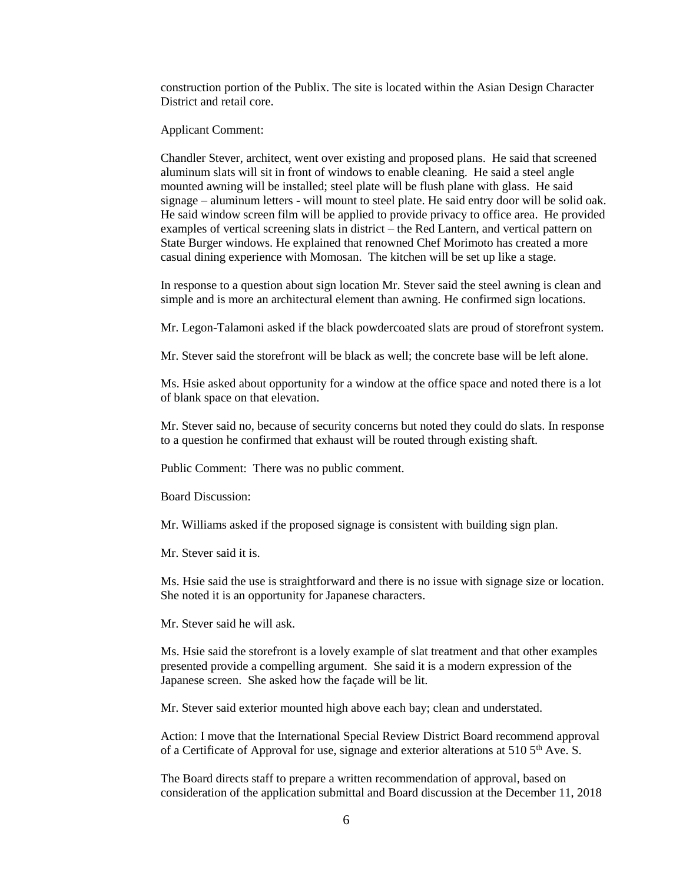construction portion of the Publix. The site is located within the Asian Design Character District and retail core.

Applicant Comment:

Chandler Stever, architect, went over existing and proposed plans. He said that screened aluminum slats will sit in front of windows to enable cleaning. He said a steel angle mounted awning will be installed; steel plate will be flush plane with glass. He said signage – aluminum letters - will mount to steel plate. He said entry door will be solid oak. He said window screen film will be applied to provide privacy to office area. He provided examples of vertical screening slats in district – the Red Lantern, and vertical pattern on State Burger windows. He explained that renowned Chef Morimoto has created a more casual dining experience with Momosan. The kitchen will be set up like a stage.

In response to a question about sign location Mr. Stever said the steel awning is clean and simple and is more an architectural element than awning. He confirmed sign locations.

Mr. Legon-Talamoni asked if the black powdercoated slats are proud of storefront system.

Mr. Stever said the storefront will be black as well; the concrete base will be left alone.

Ms. Hsie asked about opportunity for a window at the office space and noted there is a lot of blank space on that elevation.

Mr. Stever said no, because of security concerns but noted they could do slats. In response to a question he confirmed that exhaust will be routed through existing shaft.

Public Comment: There was no public comment.

Board Discussion:

Mr. Williams asked if the proposed signage is consistent with building sign plan.

Mr. Stever said it is.

Ms. Hsie said the use is straightforward and there is no issue with signage size or location. She noted it is an opportunity for Japanese characters.

Mr. Stever said he will ask.

Ms. Hsie said the storefront is a lovely example of slat treatment and that other examples presented provide a compelling argument. She said it is a modern expression of the Japanese screen. She asked how the façade will be lit.

Mr. Stever said exterior mounted high above each bay; clean and understated.

Action: I move that the International Special Review District Board recommend approval of a Certificate of Approval for use, signage and exterior alterations at  $510\,5^{th}$  Ave. S.

The Board directs staff to prepare a written recommendation of approval, based on consideration of the application submittal and Board discussion at the December 11, 2018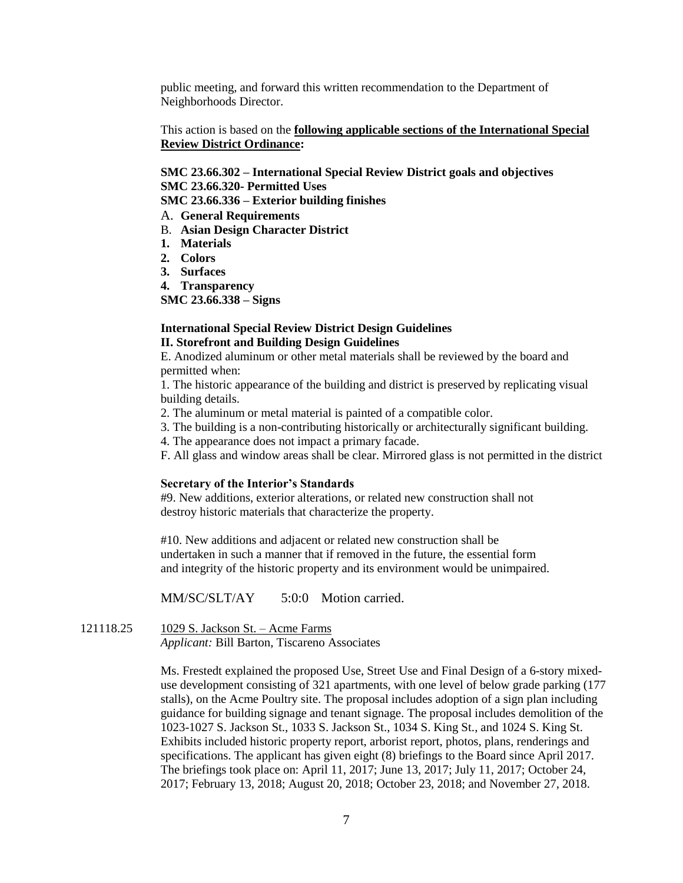public meeting, and forward this written recommendation to the Department of Neighborhoods Director.

This action is based on the **following applicable sections of the International Special Review District Ordinance:** 

**SMC 23.66.302 – International Special Review District goals and objectives SMC 23.66.320- Permitted Uses**

**SMC 23.66.336 – Exterior building finishes**

A. **General Requirements**

- B. **Asian Design Character District**
- **1. Materials**
- **2. Colors**
- **3. Surfaces**
- **4. Transparency**

**SMC 23.66.338 – Signs**

### **International Special Review District Design Guidelines II. Storefront and Building Design Guidelines**

E. Anodized aluminum or other metal materials shall be reviewed by the board and permitted when:

1. The historic appearance of the building and district is preserved by replicating visual building details.

2. The aluminum or metal material is painted of a compatible color.

3. The building is a non-contributing historically or architecturally significant building.

4. The appearance does not impact a primary facade.

F. All glass and window areas shall be clear. Mirrored glass is not permitted in the district

#### **Secretary of the Interior's Standards**

#9. New additions, exterior alterations, or related new construction shall not destroy historic materials that characterize the property.

#10. New additions and adjacent or related new construction shall be undertaken in such a manner that if removed in the future, the essential form and integrity of the historic property and its environment would be unimpaired.

MM/SC/SLT/AY 5:0:0 Motion carried.

121118.25 1029 S. Jackson St. – Acme Farms

*Applicant:* Bill Barton, Tiscareno Associates

Ms. Frestedt explained the proposed Use, Street Use and Final Design of a 6-story mixeduse development consisting of 321 apartments, with one level of below grade parking (177 stalls), on the Acme Poultry site. The proposal includes adoption of a sign plan including guidance for building signage and tenant signage. The proposal includes demolition of the 1023-1027 S. Jackson St., 1033 S. Jackson St., 1034 S. King St., and 1024 S. King St. Exhibits included historic property report, arborist report, photos, plans, renderings and specifications. The applicant has given eight (8) briefings to the Board since April 2017. The briefings took place on: April 11, 2017; June 13, 2017; July 11, 2017; October 24, 2017; February 13, 2018; August 20, 2018; October 23, 2018; and November 27, 2018.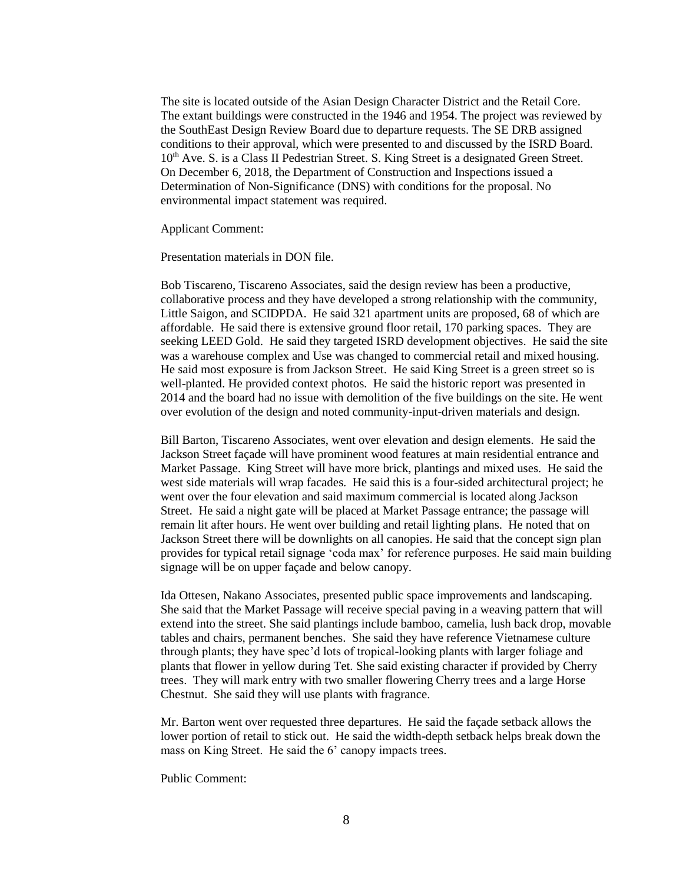The site is located outside of the Asian Design Character District and the Retail Core. The extant buildings were constructed in the 1946 and 1954. The project was reviewed by the SouthEast Design Review Board due to departure requests. The SE DRB assigned conditions to their approval, which were presented to and discussed by the ISRD Board.  $10<sup>th</sup>$  Ave. S. is a Class II Pedestrian Street. S. King Street is a designated Green Street. On December 6, 2018, the Department of Construction and Inspections issued a Determination of Non-Significance (DNS) with conditions for the proposal. No environmental impact statement was required.

Applicant Comment:

Presentation materials in DON file.

Bob Tiscareno, Tiscareno Associates, said the design review has been a productive, collaborative process and they have developed a strong relationship with the community, Little Saigon, and SCIDPDA. He said 321 apartment units are proposed, 68 of which are affordable. He said there is extensive ground floor retail, 170 parking spaces. They are seeking LEED Gold. He said they targeted ISRD development objectives. He said the site was a warehouse complex and Use was changed to commercial retail and mixed housing. He said most exposure is from Jackson Street. He said King Street is a green street so is well-planted. He provided context photos. He said the historic report was presented in 2014 and the board had no issue with demolition of the five buildings on the site. He went over evolution of the design and noted community-input-driven materials and design.

Bill Barton, Tiscareno Associates, went over elevation and design elements. He said the Jackson Street façade will have prominent wood features at main residential entrance and Market Passage. King Street will have more brick, plantings and mixed uses. He said the west side materials will wrap facades. He said this is a four-sided architectural project; he went over the four elevation and said maximum commercial is located along Jackson Street. He said a night gate will be placed at Market Passage entrance; the passage will remain lit after hours. He went over building and retail lighting plans. He noted that on Jackson Street there will be downlights on all canopies. He said that the concept sign plan provides for typical retail signage 'coda max' for reference purposes. He said main building signage will be on upper façade and below canopy.

Ida Ottesen, Nakano Associates, presented public space improvements and landscaping. She said that the Market Passage will receive special paving in a weaving pattern that will extend into the street. She said plantings include bamboo, camelia, lush back drop, movable tables and chairs, permanent benches. She said they have reference Vietnamese culture through plants; they have spec'd lots of tropical-looking plants with larger foliage and plants that flower in yellow during Tet. She said existing character if provided by Cherry trees. They will mark entry with two smaller flowering Cherry trees and a large Horse Chestnut. She said they will use plants with fragrance.

Mr. Barton went over requested three departures. He said the façade setback allows the lower portion of retail to stick out. He said the width-depth setback helps break down the mass on King Street. He said the 6' canopy impacts trees.

Public Comment: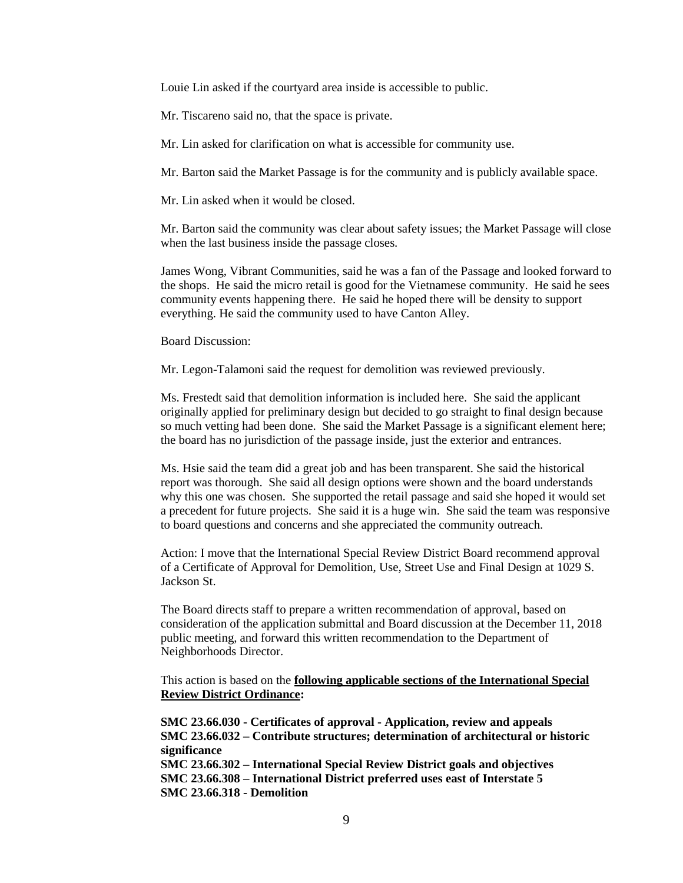Louie Lin asked if the courtyard area inside is accessible to public.

Mr. Tiscareno said no, that the space is private.

Mr. Lin asked for clarification on what is accessible for community use.

Mr. Barton said the Market Passage is for the community and is publicly available space.

Mr. Lin asked when it would be closed.

Mr. Barton said the community was clear about safety issues; the Market Passage will close when the last business inside the passage closes.

James Wong, Vibrant Communities, said he was a fan of the Passage and looked forward to the shops. He said the micro retail is good for the Vietnamese community. He said he sees community events happening there. He said he hoped there will be density to support everything. He said the community used to have Canton Alley.

Board Discussion:

Mr. Legon-Talamoni said the request for demolition was reviewed previously.

Ms. Frestedt said that demolition information is included here. She said the applicant originally applied for preliminary design but decided to go straight to final design because so much vetting had been done. She said the Market Passage is a significant element here; the board has no jurisdiction of the passage inside, just the exterior and entrances.

Ms. Hsie said the team did a great job and has been transparent. She said the historical report was thorough. She said all design options were shown and the board understands why this one was chosen. She supported the retail passage and said she hoped it would set a precedent for future projects. She said it is a huge win. She said the team was responsive to board questions and concerns and she appreciated the community outreach.

Action: I move that the International Special Review District Board recommend approval of a Certificate of Approval for Demolition, Use, Street Use and Final Design at 1029 S. Jackson St.

The Board directs staff to prepare a written recommendation of approval, based on consideration of the application submittal and Board discussion at the December 11, 2018 public meeting, and forward this written recommendation to the Department of Neighborhoods Director.

This action is based on the **following applicable sections of the International Special Review District Ordinance:** 

**SMC 23.66.030 - Certificates of approval - Application, review and appeals SMC 23.66.032 – Contribute structures; determination of architectural or historic significance SMC 23.66.302 – International Special Review District goals and objectives SMC 23.66.308 – International District preferred uses east of Interstate 5 SMC 23.66.318 - Demolition**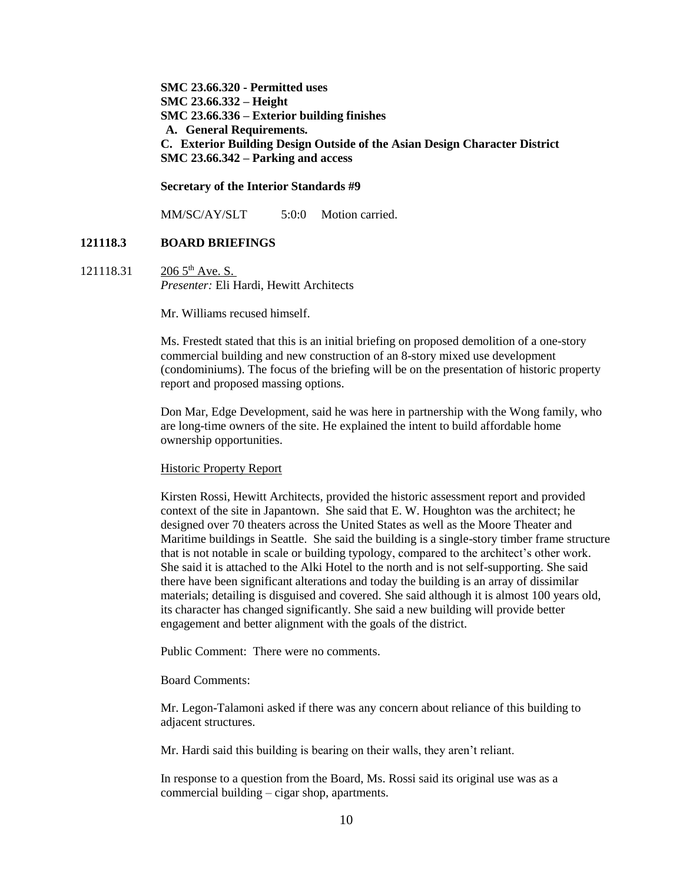**SMC 23.66.320 - Permitted uses SMC 23.66.332 – Height SMC 23.66.336 – Exterior building finishes A. General Requirements. C. Exterior Building Design Outside of the Asian Design Character District SMC 23.66.342 – Parking and access**

**Secretary of the Interior Standards #9**

MM/SC/AY/SLT 5:0:0 Motion carried.

#### **121118.3 BOARD BRIEFINGS**

121118.31 206  $5^{th}$  Ave. S. *Presenter:* Eli Hardi, Hewitt Architects

Mr. Williams recused himself.

Ms. Frestedt stated that this is an initial briefing on proposed demolition of a one-story commercial building and new construction of an 8-story mixed use development (condominiums). The focus of the briefing will be on the presentation of historic property report and proposed massing options.

Don Mar, Edge Development, said he was here in partnership with the Wong family, who are long-time owners of the site. He explained the intent to build affordable home ownership opportunities.

#### Historic Property Report

Kirsten Rossi, Hewitt Architects, provided the historic assessment report and provided context of the site in Japantown. She said that E. W. Houghton was the architect; he designed over 70 theaters across the United States as well as the Moore Theater and Maritime buildings in Seattle. She said the building is a single-story timber frame structure that is not notable in scale or building typology, compared to the architect's other work. She said it is attached to the Alki Hotel to the north and is not self-supporting. She said there have been significant alterations and today the building is an array of dissimilar materials; detailing is disguised and covered. She said although it is almost 100 years old, its character has changed significantly. She said a new building will provide better engagement and better alignment with the goals of the district.

Public Comment: There were no comments.

Board Comments:

Mr. Legon-Talamoni asked if there was any concern about reliance of this building to adjacent structures.

Mr. Hardi said this building is bearing on their walls, they aren't reliant.

In response to a question from the Board, Ms. Rossi said its original use was as a commercial building – cigar shop, apartments.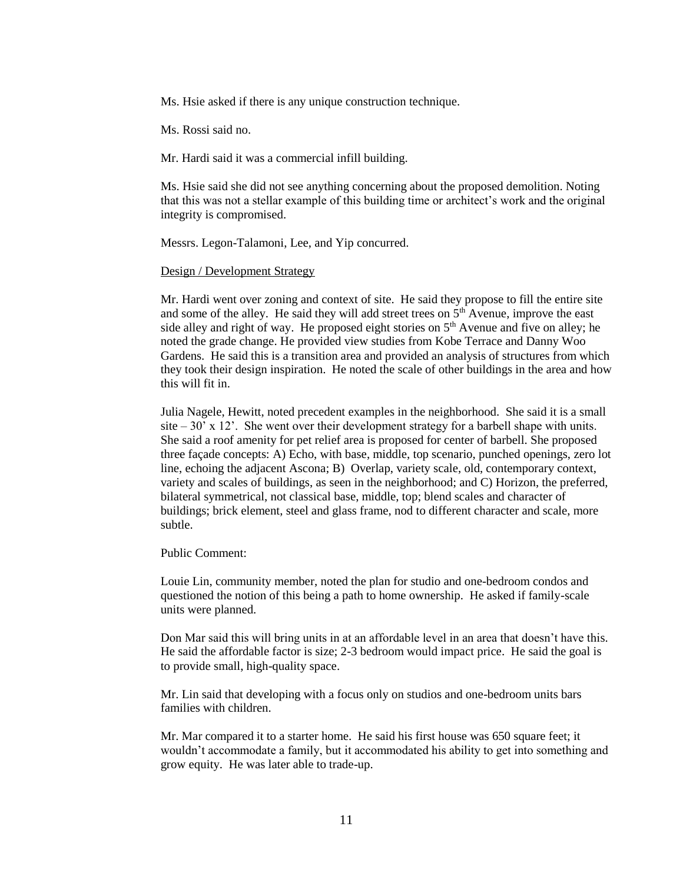Ms. Hsie asked if there is any unique construction technique.

Ms. Rossi said no.

Mr. Hardi said it was a commercial infill building.

Ms. Hsie said she did not see anything concerning about the proposed demolition. Noting that this was not a stellar example of this building time or architect's work and the original integrity is compromised.

Messrs. Legon-Talamoni, Lee, and Yip concurred.

#### Design / Development Strategy

Mr. Hardi went over zoning and context of site. He said they propose to fill the entire site and some of the alley. He said they will add street trees on 5<sup>th</sup> Avenue, improve the east side alley and right of way. He proposed eight stories on  $5<sup>th</sup>$  Avenue and five on alley; he noted the grade change. He provided view studies from Kobe Terrace and Danny Woo Gardens. He said this is a transition area and provided an analysis of structures from which they took their design inspiration. He noted the scale of other buildings in the area and how this will fit in.

Julia Nagele, Hewitt, noted precedent examples in the neighborhood. She said it is a small site  $-30'$  x 12'. She went over their development strategy for a barbell shape with units. She said a roof amenity for pet relief area is proposed for center of barbell. She proposed three façade concepts: A) Echo, with base, middle, top scenario, punched openings, zero lot line, echoing the adjacent Ascona; B) Overlap, variety scale, old, contemporary context, variety and scales of buildings, as seen in the neighborhood; and C) Horizon, the preferred, bilateral symmetrical, not classical base, middle, top; blend scales and character of buildings; brick element, steel and glass frame, nod to different character and scale, more subtle.

Public Comment:

Louie Lin, community member, noted the plan for studio and one-bedroom condos and questioned the notion of this being a path to home ownership. He asked if family-scale units were planned.

Don Mar said this will bring units in at an affordable level in an area that doesn't have this. He said the affordable factor is size; 2-3 bedroom would impact price. He said the goal is to provide small, high-quality space.

Mr. Lin said that developing with a focus only on studios and one-bedroom units bars families with children.

Mr. Mar compared it to a starter home. He said his first house was 650 square feet; it wouldn't accommodate a family, but it accommodated his ability to get into something and grow equity. He was later able to trade-up.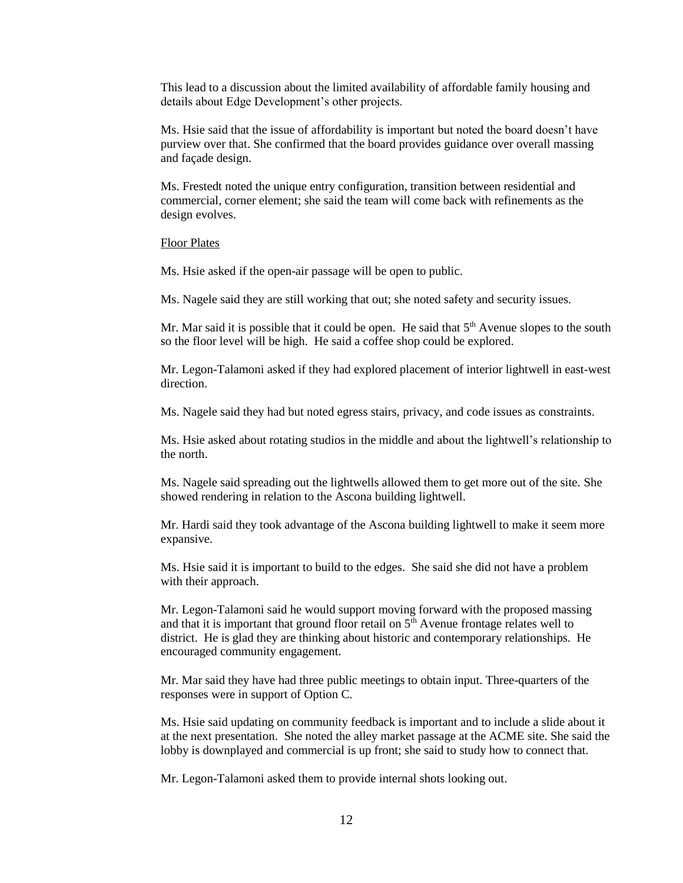This lead to a discussion about the limited availability of affordable family housing and details about Edge Development's other projects.

Ms. Hsie said that the issue of affordability is important but noted the board doesn't have purview over that. She confirmed that the board provides guidance over overall massing and façade design.

Ms. Frestedt noted the unique entry configuration, transition between residential and commercial, corner element; she said the team will come back with refinements as the design evolves.

#### Floor Plates

Ms. Hsie asked if the open-air passage will be open to public.

Ms. Nagele said they are still working that out; she noted safety and security issues.

Mr. Mar said it is possible that it could be open. He said that  $5<sup>th</sup>$  Avenue slopes to the south so the floor level will be high. He said a coffee shop could be explored.

Mr. Legon-Talamoni asked if they had explored placement of interior lightwell in east-west direction.

Ms. Nagele said they had but noted egress stairs, privacy, and code issues as constraints.

Ms. Hsie asked about rotating studios in the middle and about the lightwell's relationship to the north.

Ms. Nagele said spreading out the lightwells allowed them to get more out of the site. She showed rendering in relation to the Ascona building lightwell.

Mr. Hardi said they took advantage of the Ascona building lightwell to make it seem more expansive.

Ms. Hsie said it is important to build to the edges. She said she did not have a problem with their approach.

Mr. Legon-Talamoni said he would support moving forward with the proposed massing and that it is important that ground floor retail on  $5<sup>th</sup>$  Avenue frontage relates well to district. He is glad they are thinking about historic and contemporary relationships. He encouraged community engagement.

Mr. Mar said they have had three public meetings to obtain input. Three-quarters of the responses were in support of Option C.

Ms. Hsie said updating on community feedback is important and to include a slide about it at the next presentation. She noted the alley market passage at the ACME site. She said the lobby is downplayed and commercial is up front; she said to study how to connect that.

Mr. Legon-Talamoni asked them to provide internal shots looking out.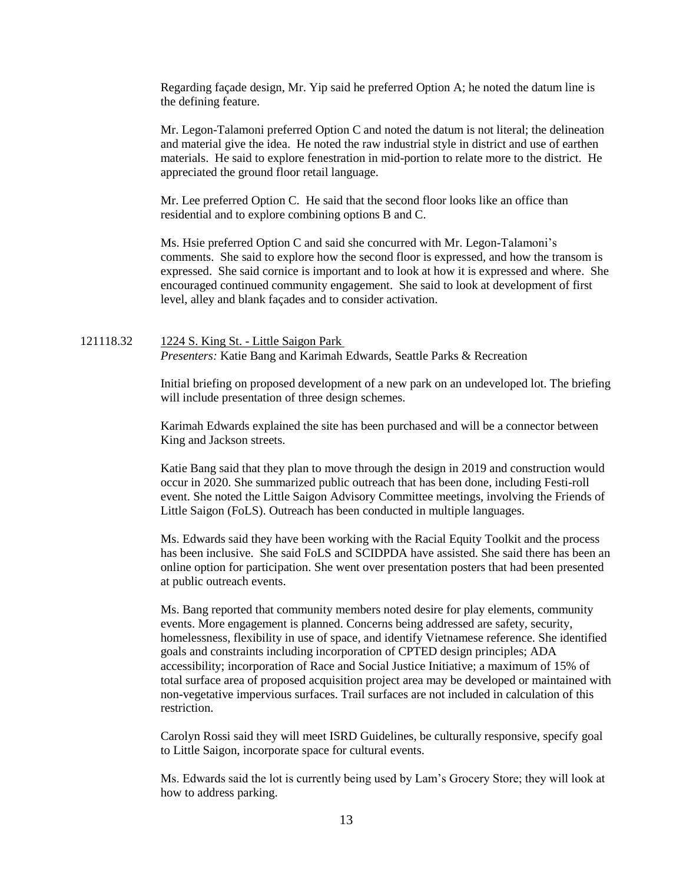Regarding façade design, Mr. Yip said he preferred Option A; he noted the datum line is the defining feature.

Mr. Legon-Talamoni preferred Option C and noted the datum is not literal; the delineation and material give the idea. He noted the raw industrial style in district and use of earthen materials. He said to explore fenestration in mid-portion to relate more to the district. He appreciated the ground floor retail language.

Mr. Lee preferred Option C. He said that the second floor looks like an office than residential and to explore combining options B and C.

Ms. Hsie preferred Option C and said she concurred with Mr. Legon-Talamoni's comments. She said to explore how the second floor is expressed, and how the transom is expressed. She said cornice is important and to look at how it is expressed and where. She encouraged continued community engagement. She said to look at development of first level, alley and blank façades and to consider activation.

# 121118.32 1224 S. King St. - Little Saigon Park *Presenters:* Katie Bang and Karimah Edwards, Seattle Parks & Recreation

Initial briefing on proposed development of a new park on an undeveloped lot. The briefing will include presentation of three design schemes.

Karimah Edwards explained the site has been purchased and will be a connector between King and Jackson streets.

Katie Bang said that they plan to move through the design in 2019 and construction would occur in 2020. She summarized public outreach that has been done, including Festi-roll event. She noted the Little Saigon Advisory Committee meetings, involving the Friends of Little Saigon (FoLS). Outreach has been conducted in multiple languages.

Ms. Edwards said they have been working with the Racial Equity Toolkit and the process has been inclusive. She said FoLS and SCIDPDA have assisted. She said there has been an online option for participation. She went over presentation posters that had been presented at public outreach events.

Ms. Bang reported that community members noted desire for play elements, community events. More engagement is planned. Concerns being addressed are safety, security, homelessness, flexibility in use of space, and identify Vietnamese reference. She identified goals and constraints including incorporation of CPTED design principles; ADA accessibility; incorporation of Race and Social Justice Initiative; a maximum of 15% of total surface area of proposed acquisition project area may be developed or maintained with non-vegetative impervious surfaces. Trail surfaces are not included in calculation of this restriction.

Carolyn Rossi said they will meet ISRD Guidelines, be culturally responsive, specify goal to Little Saigon, incorporate space for cultural events.

Ms. Edwards said the lot is currently being used by Lam's Grocery Store; they will look at how to address parking.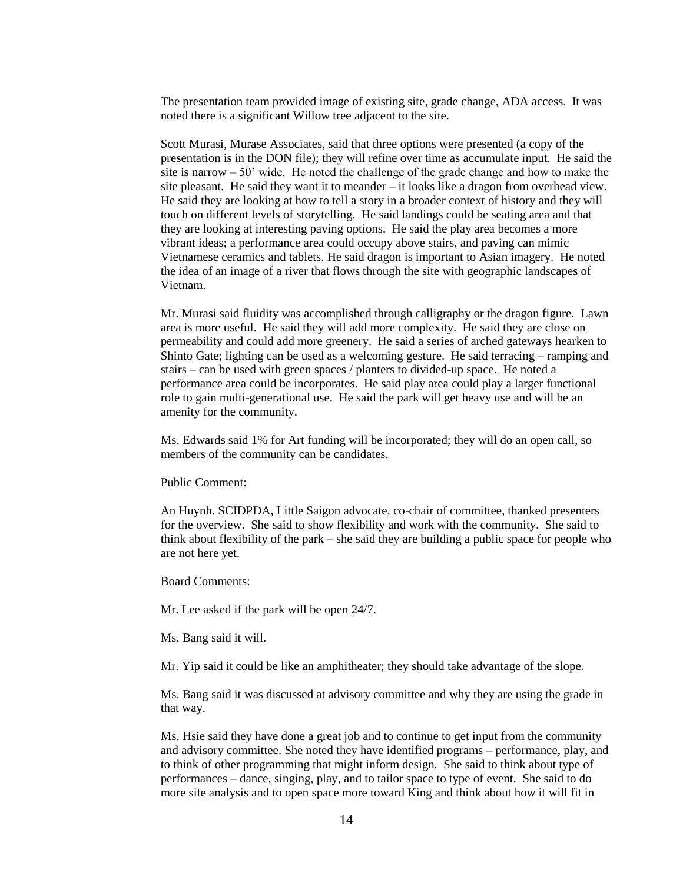The presentation team provided image of existing site, grade change, ADA access. It was noted there is a significant Willow tree adjacent to the site.

Scott Murasi, Murase Associates, said that three options were presented (a copy of the presentation is in the DON file); they will refine over time as accumulate input. He said the site is narrow  $-50'$  wide. He noted the challenge of the grade change and how to make the site pleasant. He said they want it to meander – it looks like a dragon from overhead view. He said they are looking at how to tell a story in a broader context of history and they will touch on different levels of storytelling. He said landings could be seating area and that they are looking at interesting paving options. He said the play area becomes a more vibrant ideas; a performance area could occupy above stairs, and paving can mimic Vietnamese ceramics and tablets. He said dragon is important to Asian imagery. He noted the idea of an image of a river that flows through the site with geographic landscapes of Vietnam.

Mr. Murasi said fluidity was accomplished through calligraphy or the dragon figure. Lawn area is more useful. He said they will add more complexity. He said they are close on permeability and could add more greenery. He said a series of arched gateways hearken to Shinto Gate; lighting can be used as a welcoming gesture. He said terracing – ramping and stairs – can be used with green spaces / planters to divided-up space. He noted a performance area could be incorporates. He said play area could play a larger functional role to gain multi-generational use. He said the park will get heavy use and will be an amenity for the community.

Ms. Edwards said 1% for Art funding will be incorporated; they will do an open call, so members of the community can be candidates.

Public Comment:

An Huynh. SCIDPDA, Little Saigon advocate, co-chair of committee, thanked presenters for the overview. She said to show flexibility and work with the community. She said to think about flexibility of the park – she said they are building a public space for people who are not here yet.

Board Comments:

Mr. Lee asked if the park will be open 24/7.

Ms. Bang said it will.

Mr. Yip said it could be like an amphitheater; they should take advantage of the slope.

Ms. Bang said it was discussed at advisory committee and why they are using the grade in that way.

Ms. Hsie said they have done a great job and to continue to get input from the community and advisory committee. She noted they have identified programs – performance, play, and to think of other programming that might inform design. She said to think about type of performances – dance, singing, play, and to tailor space to type of event. She said to do more site analysis and to open space more toward King and think about how it will fit in